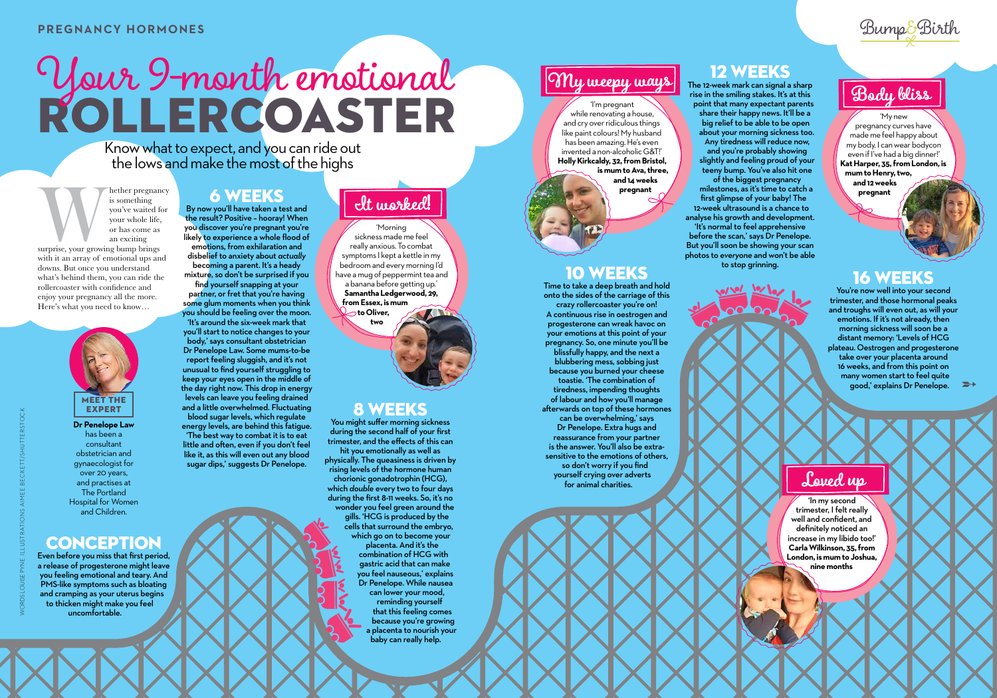

EXPERT **Dr Penelope Law** 

has been a consultant obstetrician and gynaecologist for over 20 years, and practises at The Portland Hospital for Women and Children.

# **CONCEPTION**

Even before you miss that first period, a release of progesterone might leave you feeling emotional and teary. And PMS-like symptoms such as bloating and cramping as your uterus begins to thicken might make you feel uncomfortable.

find yourself snapping at your partner, or fret that you're having some glum moments when you think

#### 6 WEEKS

By now you'll have taken a test and the result? Positive – hooray! When you discover you're pregnant you're likely to experience a whole flood of emotions, from exhilaration and disbelief to anxiety about *actually* becoming a parent. It's a heady mixture, so don't be surprised if you

you should be feeling over the moon. 'It's around the six-week mark that you'll start to notice changes to your body,' says consultant obstetrician Dr Penelope Law. Some mums-to-be report feeling sluggish, and it's not unusual to find yourself struggling to keep your eyes open in the middle of the day right now. This drop in energy levels can leave you feeling drained and a little overwhelmed. Fluctuating blood sugar levels, which regulate energy levels, are behind this fatigue. 'The best way to combat it is to eat little and often, even if you don't feel like it, as this will even out any blood sugar dips,' suggests Dr Penelope.

#### 8 WEEKS

The 12-week mark can signal a sharp rise in the smiling stakes. It's at this point that many expectant parents share their happy news. It'll be a big relief to be able to be open about your morning sickness too. Any tiredness will reduce now, The I2-week mark can signal a sharp<br>The property that the smiling stakes. It's at this<br>I'm pregnant

and you're probably showing slightly and feeling proud of your teeny bump. You've also hit one of the biggest pregnancy

You might suffer morning sickness during the second half of your first trimester, and the effects of this can hit you emotionally as well as physically. The queasiness is driven by rising levels of the hormone human chorionic gonadotrophin (HCG), which *double* every two to four days during the first 8-11 weeks. So, it's no wonder you feel green around the gills. 'HCG is produced by the cells that surround the embryo, which go on to become your placenta. And it's the combination of HCG with gastric acid that can make you feel nauseous,' explains Dr Penelope. While nausea can lower your mood, reminding yourself that this feeling comes

the pregnancy<br>
you've waited for<br>
you've waited for<br>
your whole life,<br>
or has come as<br>
an exciting<br>
surprise, your growing bump brings<br>
with it an array of emotional ups and is something you've waited for your whole life, or has come as an exciting surprise, your growing bump brings

> because you're growing a placenta to nourish your baby can really help.

Know what to expect, and you can ride out the lows and make the most of the highs

# ROLLERCOASTER Your 9-month emotional

#### 10 WEEKS

Time to take a deep breath and hold onto the sides of the carriage of this crazy rollercoaster you're on! A continuous rise in oestrogen and progesterone can wreak havoc on your emotions at this point of your pregnancy. So, one minute you'll be blissfully happy, and the next a blubbering mess, sobbing just because you burned your cheese toastie. 'The combination of tiredness, impending thoughts of labour and how you'll manage afterwards on top of these hormones can be overwhelming,' says Dr Penelope. Extra hugs and reassurance from your partner is the answer. You'll also be extrasensitive to the emotions of others, so don't worry if you find yourself crying over adverts for animal charities.



### 12 WEEKS

milestones, as it's time to catch a first glimpse of your baby! The 12-week ultrasound is a chance to analyse his growth and development. 'It's normal to feel apprehensive

before the scan,' says Dr Penelope. But you'll soon be showing your scan photos to *everyone* and won't be able

to stop grinning.

#### 16 WEEKS

You're now well into your second trimester, and those hormonal peaks and troughs will even out, as will your emotions. If it's not already, then morning sickness will soon be a distant memory: 'Levels of HCG plateau. Oestrogen and progesterone take over your placenta around 16 weeks, and from this point on many women start to feel quite good,' explains Dr Penelope.

with it an array of emotional ups and downs. But once you understand what's behind them, you can ride the rollercoaster with confidence and enjoy your pregnancy all the more. Here's what you need to know…

'Morning sickness made me feel really anxious. To combat symptoms I kept a kettle in my bedroom and every morning I'd have a mug of peppermint tea and a banana before getting up.' **Samantha Ledgerwood, 29, from Essex, is mum to Oliver,** 

**two**

# **It worked!**

'My new pregnancy curves have made me feel happy about my body. I can wear bodycon even if I've had a big dinner!' **Kat Harper, 35, from London, is mum to Henry, two, and 12 weeks** 

**pregnant**

while renovating a house, and cry over ridiculous things like paint colours! My husband has been amazing. He's even invented a non-alcoholic G&T!' **Holly Kirkcaldy, 32, from Bristol, is mum to Ava, three, and 14 weeks pregnant**

# **My weepy ways**

'In my second trimester, I felt really well and confident, and definitely noticed an increase in my libido too!' **Carla Wilkinson, 35, from London, is mum to Joshua, nine months**

# **Loved up**

**PREGNANCY HORMONES** Bump&Birth